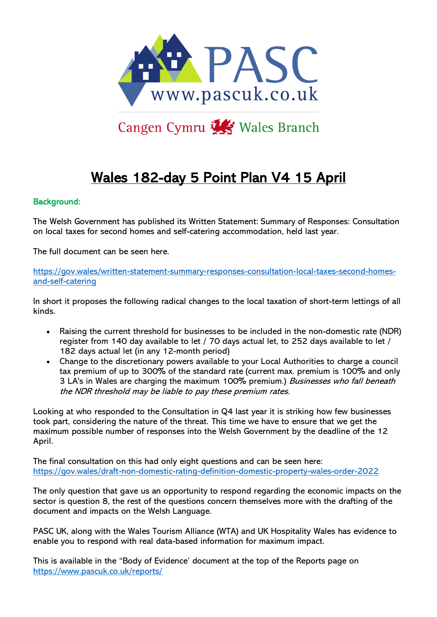

# Cangen Cymru Wales Branch

# Wales 182-day 5 Point Plan V4 15 April

#### Background:

The Welsh Government has published its Written Statement: Summary of Responses: Consultation on local taxes for second homes and self-catering accommodation, held last year.

The full document can be seen here.

[https://gov.wales/written-statement-summary-responses-consultation-local-taxes-second-homes](https://gov.wales/written-statement-summary-responses-consultation-local-taxes-second-homes-and-self-catering)[and-self-catering](https://gov.wales/written-statement-summary-responses-consultation-local-taxes-second-homes-and-self-catering)

In short it proposes the following radical changes to the local taxation of short-term lettings of all kinds.

- Raising the current threshold for businesses to be included in the non-domestic rate (NDR) register from 140 day available to let / 70 days actual let, to 252 days available to let / 182 days actual let (in any 12-month period)
- Change to the discretionary powers available to your Local Authorities to charge a council tax premium of up to 300% of the standard rate (current max. premium is 100% and only 3 LA's in Wales are charging the maximum 100% premium.) Businesses who fall beneath the NDR threshold may be liable to pay these premium rates.

Looking at who responded to the Consultation in Q4 last year it is striking how few businesses took part, considering the nature of the threat. This time we have to ensure that we get the maximum possible number of responses into the Welsh Government by the deadline of the 12 April.

The final consultation on this had only eight questions and can be seen here: <https://gov.wales/draft-non-domestic-rating-definition-domestic-property-wales-order-2022>

The only question that gave us an opportunity to respond regarding the economic impacts on the sector is question 8, the rest of the questions concern themselves more with the drafting of the document and impacts on the Welsh Language.

PASC UK, along with the Wales Tourism Alliance (WTA) and UK Hospitality Wales has evidence to enable you to respond with real data-based information for maximum impact.

This is available in the "Body of Evidence' document at the top of the Reports page on <https://www.pascuk.co.uk/reports/>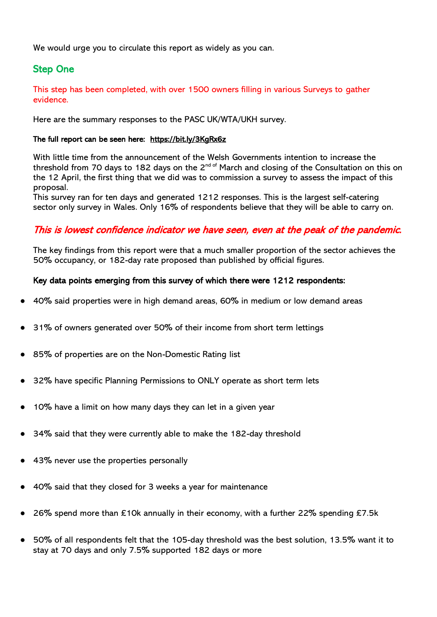We would urge you to circulate this report as widely as you can.

## Step One

This step has been completed, with over 1500 owners filling in various Surveys to gather evidence.

Here are the summary responses to the PASC UK/WTA/UKH survey.

#### The full report can be seen here: <https://bit.ly/3KgRx6z>

With little time from the announcement of the Welsh Governments intention to increase the threshold from 70 days to 182 days on the  $2^{nd \space of}$  March and closing of the Consultation on this on the 12 April, the first thing that we did was to commission a survey to assess the impact of this proposal.

This survey ran for ten days and generated 1212 responses. This is the largest self-catering sector only survey in Wales. Only 16% of respondents believe that they will be able to carry on.

### This is lowest confidence indicator we have seen, even at the peak of the pandemic.

The key findings from this report were that a much smaller proportion of the sector achieves the 50% occupancy, or 182-day rate proposed than published by official figures.

#### Key data points emerging from this survey of which there were 1212 respondents:

- 40% said properties were in high demand areas, 60% in medium or low demand areas
- 31% of owners generated over 50% of their income from short term lettings
- 85% of properties are on the Non-Domestic Rating list
- 32% have specific Planning Permissions to ONLY operate as short term lets
- 10% have a limit on how many days they can let in a given year
- 34% said that they were currently able to make the 182-day threshold
- 43% never use the properties personally
- 40% said that they closed for 3 weeks a year for maintenance
- 26% spend more than £10k annually in their economy, with a further 22% spending £7.5k
- 50% of all respondents felt that the 105-day threshold was the best solution, 13.5% want it to stay at 70 days and only 7.5% supported 182 days or more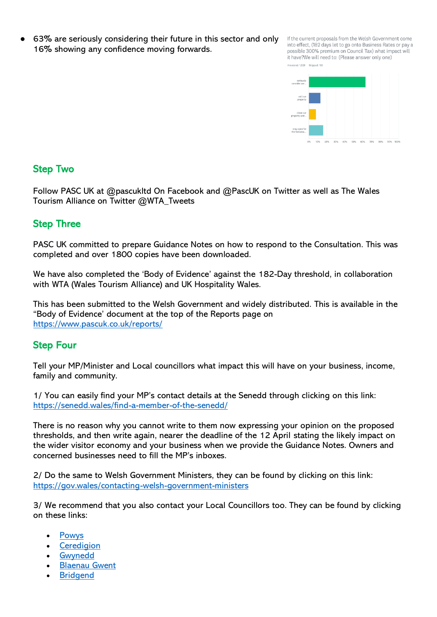63% are seriously considering their future in this sector and only 16% showing any confidence moving forwards.

If the current proposals from the Welsh Government come into effect, (182 days let to go onto Business Rates or pay a possible 300% premium on Council Tax) what impact will it have?We will need to: (Please answer only one) Answered: 1.029 Skipped: 183



## Step Two

Follow PASC UK at @pascukltd On Facebook and @PascUK on Twitter as well as The Wales Tourism Alliance on Twitter @WTA\_Tweets

## Step Three

PASC UK committed to prepare Guidance Notes on how to respond to the Consultation. This was completed and over 1800 copies have been downloaded.

We have also completed the 'Body of Evidence' against the 182-Day threshold, in collaboration with WTA (Wales Tourism Alliance) and UK Hospitality Wales.

This has been submitted to the Welsh Government and widely distributed. This is available in the "Body of Evidence' document at the top of the Reports page on <https://www.pascuk.co.uk/reports/>

## Step Four

Tell your MP/Minister and Local councillors what impact this will have on your business, income, family and community.

1/ You can easily find your MP's contact details at the Senedd through clicking on this link: <https://senedd.wales/find-a-member-of-the-senedd/>

There is no reason why you cannot write to them now expressing your opinion on the proposed thresholds, and then write again, nearer the deadline of the 12 April stating the likely impact on the wider visitor economy and your business when we provide the Guidance Notes. Owners and concerned businesses need to fill the MP's inboxes.

2/ Do the same to Welsh Government Ministers, they can be found by clicking on this link: <https://gov.wales/contacting-welsh-government-ministers>

3/ We recommend that you also contact your Local Councillors too. They can be found by clicking on these links:

- [Powys](https://l.facebook.com/l.php?u=https%3A%2F%2Fr20.rs6.net%2Ftn.jsp%3Ff%3D001qUFS_VkHco5jCJmVVygOAvK6gZSZFe7cyiQjli5quxjDpulVkr33jA46CrQ6kRvPk4rDt-SSr_8TLfbE-56X-zMw6y684KRecphPaYXupI0ys9gU9K9vzSoyEtSXdpxC3JTdJvN51ojK5ICfqIZQteH4cOcJkre5BEAJ7cWg--8%253D%26c%3DOgSJQFiLKsL7Oe3XJ4ufaj73IYV-E9OtHVbjE5oOQL2aGBC06id_hw%253D%253D%26ch%3DKWM7fLEGnWsVJq6WL1NN07T72X3PMuycTfIxiI5YbgEKI-Q0FUGT0Q%253D%253D%26fbclid%3DIwAR0dEobSdaaVpQBM6DRpjKWldLRx1lSKZcQKQZmbMpZuLM3k-xQYxQirnyY&h=AT2zR5HvlbmCG70R7GMM8Nb8xIo6CiQm4__Z6_XjweRst96Td8ubL_rpyCyU1Hfvg8p6cQQj83qCoB7V9SySfxLUBIkj6uxamf7mFBNs0e9fE3s-LBu2lguWv32dgwokW83T2Cf1LQ&__tn__=-UK-R&c%5B0%5D=AT33uWKcWew8-L620Cg_t7OkD-EHiDy7sfCcd92BuSupXZzNvbWlHA0CaOEKcD7hQAiogFAwkZRYlno1qlIUg9KYCSUqb-D7Wdbsdy10T3dfn9UL2_1O2dh7W0HpYn_w032fCvDV1DhExVpJ30QZ1LJC1YLNspQYb0EwsDxTpSuwSZ4E8KsuxGCUpVhI8jafapvDxT8JEkeUtKW3Ee85yXKs)
- **[Ceredigion](https://l.facebook.com/l.php?u=https%3A%2F%2Fr20.rs6.net%2Ftn.jsp%3Ff%3D001qUFS_VkHco5jCJmVVygOAvK6gZSZFe7cyiQjli5quxjDpulVkr33jA46CrQ6kRvPw0qwkSNQMD0w4YB2XHvUrLgzP9cYDcHAdSmeYGnriMFSv_haASpvjagWtn4bE9LjorJ_td2X-47IQa1EdlJ9I7W2sV10F-fPzCR9aQhbVnWw9-wgujnjYq_rSX1_yecK%26c%3DOgSJQFiLKsL7Oe3XJ4ufaj73IYV-E9OtHVbjE5oOQL2aGBC06id_hw%253D%253D%26ch%3DKWM7fLEGnWsVJq6WL1NN07T72X3PMuycTfIxiI5YbgEKI-Q0FUGT0Q%253D%253D%26fbclid%3DIwAR2S9m_EW0gho77dIozCxvYrbVLn1DAYLrKzI9MvK_CBbetmL68bduBL794&h=AT2W6Tp7xUwbvtjduNOiN3ONQsWPXcuOCpRV9FqxEgPlx_nD4QM3NgLWEg-TII_tyDlU5zoBfrOv6gu9hCd_HiyZoHpO89YK0tC2_r1eC3KAOSwTgupmUv2DQKh0_8EU7ca8arrEBg&__tn__=-UK-R&c%5B0%5D=AT33uWKcWew8-L620Cg_t7OkD-EHiDy7sfCcd92BuSupXZzNvbWlHA0CaOEKcD7hQAiogFAwkZRYlno1qlIUg9KYCSUqb-D7Wdbsdy10T3dfn9UL2_1O2dh7W0HpYn_w032fCvDV1DhExVpJ30QZ1LJC1YLNspQYb0EwsDxTpSuwSZ4E8KsuxGCUpVhI8jafapvDxT8JEkeUtKW3Ee85yXKs)**
- **[Gwynedd](https://l.facebook.com/l.php?u=https%3A%2F%2Fr20.rs6.net%2Ftn.jsp%3Ff%3D001qUFS_VkHco5jCJmVVygOAvK6gZSZFe7cyiQjli5quxjDpulVkr33jA46CrQ6kRvPF_j5GE67U0ezdq3Y7k7dHd1YKDVURsRI53mYexxUpYf0RRkA25EOry0lKSd-rR3bbwun1rEyy9BYlV2SeCbPOdKBQjoi_PicGEDMPfTF5u3EbY95z3CZMnxiyiVAOJosOq7vgeFKqYMPyFVMvm-8GSZcyo-hJIZg%26c%3DOgSJQFiLKsL7Oe3XJ4ufaj73IYV-E9OtHVbjE5oOQL2aGBC06id_hw%253D%253D%26ch%3DKWM7fLEGnWsVJq6WL1NN07T72X3PMuycTfIxiI5YbgEKI-Q0FUGT0Q%253D%253D%26fbclid%3DIwAR1lxSdg5E21qnjYb_fqoL3gw5C0PpXlDdTW7Z2BuWzVi7ug2YxFLd_5hv4&h=AT1dPxm8SM1nZocYzoK4xAEFV1pnl9j_0BaURwdTMRsNv0Wtjjbk6YbG3a-6RYywtTfka2Mrg2_5bT7Z4HFWx6sNa3DJiF5gG-M41-IYO_5Z8fGkP53dFcglEytM6s4idrncYRENgw&__tn__=-UK-R&c%5B0%5D=AT33uWKcWew8-L620Cg_t7OkD-EHiDy7sfCcd92BuSupXZzNvbWlHA0CaOEKcD7hQAiogFAwkZRYlno1qlIUg9KYCSUqb-D7Wdbsdy10T3dfn9UL2_1O2dh7W0HpYn_w032fCvDV1DhExVpJ30QZ1LJC1YLNspQYb0EwsDxTpSuwSZ4E8KsuxGCUpVhI8jafapvDxT8JEkeUtKW3Ee85yXKs)**
- [Blaenau](https://l.facebook.com/l.php?u=https%3A%2F%2Fr20.rs6.net%2Ftn.jsp%3Ff%3D001qUFS_VkHco5jCJmVVygOAvK6gZSZFe7cyiQjli5quxjDpulVkr33jA46CrQ6kRvPAEBmHQHhcKEFJ9-ewyfveMiX38ftRHD1J6SshADY4AX69Ntr3u07OyL_kH97IT6rJAw8XbJ7j6AhRP46yVMilKAtDwFSO_FhKXLXSVVxom1IHkgj95UriJUy0X9QYkubnf1jouQtBfqPlTdUbIHjydPsq-v91Q0c33_0I9PHuBvTdnSp9CgBFQ%253D%253D%26c%3DOgSJQFiLKsL7Oe3XJ4ufaj73IYV-E9OtHVbjE5oOQL2aGBC06id_hw%253D%253D%26ch%3DKWM7fLEGnWsVJq6WL1NN07T72X3PMuycTfIxiI5YbgEKI-Q0FUGT0Q%253D%253D%26fbclid%3DIwAR2-h_j4tSXaTiJvxi0XYK4kng_ZVTmBXm8R6VlSOfc0DExqF_9VJ6DAABs&h=AT1QxrcMvA3kiPfKMHJTd_wl_OrE2cwRE5YH1Dw40jxVQVj7GqNHs8bB6HFPV7dyC2wbKzOyKiqQvSXrX_o-crcvt9EeDUlfubGFUfS7nrHNr8XHTbiQclNP5k3MXV9uFQyAnOEhsw&__tn__=-UK-R&c%5B0%5D=AT33uWKcWew8-L620Cg_t7OkD-EHiDy7sfCcd92BuSupXZzNvbWlHA0CaOEKcD7hQAiogFAwkZRYlno1qlIUg9KYCSUqb-D7Wdbsdy10T3dfn9UL2_1O2dh7W0HpYn_w032fCvDV1DhExVpJ30QZ1LJC1YLNspQYb0EwsDxTpSuwSZ4E8KsuxGCUpVhI8jafapvDxT8JEkeUtKW3Ee85yXKs) Gwent
- **[Bridgend](https://l.facebook.com/l.php?u=https%3A%2F%2Fr20.rs6.net%2Ftn.jsp%3Ff%3D001qUFS_VkHco5jCJmVVygOAvK6gZSZFe7cyiQjli5quxjDpulVkr33jA46CrQ6kRvP80UzBoEjaL-1YwD29eTjT4vJQIfTyiWyZ0hE4SawCQk3w3YDh-0AzGSgSErNSfXXmGzL4tmLZyEg3OyaS2cskLpeYFc1vwEny7EHUBEBe9wgzlD_5MwiYrhFt-amPzyx82eT3YOr0Qe-FRiJZiJllB6Y5QBlt8cRDCmSIr_FRTuW2LkoGifgTNChvZT-mEvU%26c%3DOgSJQFiLKsL7Oe3XJ4ufaj73IYV-E9OtHVbjE5oOQL2aGBC06id_hw%253D%253D%26ch%3DKWM7fLEGnWsVJq6WL1NN07T72X3PMuycTfIxiI5YbgEKI-Q0FUGT0Q%253D%253D%26fbclid%3DIwAR2Aj4EUa3Iyqvqb4GFVQgeLABz7C4lCFLp_sO55_DUr0SVIrG5nWmx1Pe8&h=AT1DHeB6xRG4dTs66A3YoL6ObZ8zBdPT-bZMCTlNdQtA-tswjfM5kLtFjLEDocYlKW7SkccVzBViUNyRTDI8_bAzTxUfJCYU5Ro2JD5TSqcSExCgBU9qCgYuIvmxmro8RxVyVdBznQ&__tn__=-UK-R&c%5B0%5D=AT33uWKcWew8-L620Cg_t7OkD-EHiDy7sfCcd92BuSupXZzNvbWlHA0CaOEKcD7hQAiogFAwkZRYlno1qlIUg9KYCSUqb-D7Wdbsdy10T3dfn9UL2_1O2dh7W0HpYn_w032fCvDV1DhExVpJ30QZ1LJC1YLNspQYb0EwsDxTpSuwSZ4E8KsuxGCUpVhI8jafapvDxT8JEkeUtKW3Ee85yXKs)**